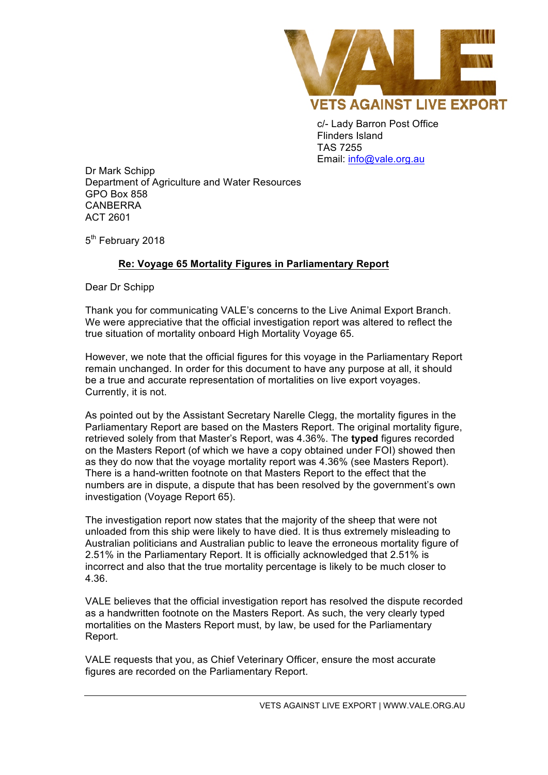

c/- Lady Barron Post Office Flinders Island TAS 7255 Email: info@vale.org.au

Dr Mark Schipp Department of Agriculture and Water Resources GPO Box 858 CANBERRA ACT 2601

5<sup>th</sup> February 2018

## **Re: Voyage 65 Mortality Figures in Parliamentary Report**

Dear Dr Schipp

Thank you for communicating VALE's concerns to the Live Animal Export Branch. We were appreciative that the official investigation report was altered to reflect the true situation of mortality onboard High Mortality Voyage 65.

However, we note that the official figures for this voyage in the Parliamentary Report remain unchanged. In order for this document to have any purpose at all, it should be a true and accurate representation of mortalities on live export voyages. Currently, it is not.

As pointed out by the Assistant Secretary Narelle Clegg, the mortality figures in the Parliamentary Report are based on the Masters Report. The original mortality figure, retrieved solely from that Master's Report, was 4.36%. The **typed** figures recorded on the Masters Report (of which we have a copy obtained under FOI) showed then as they do now that the voyage mortality report was 4.36% (see Masters Report). There is a hand-written footnote on that Masters Report to the effect that the numbers are in dispute, a dispute that has been resolved by the government's own investigation (Voyage Report 65).

The investigation report now states that the majority of the sheep that were not unloaded from this ship were likely to have died. It is thus extremely misleading to Australian politicians and Australian public to leave the erroneous mortality figure of 2.51% in the Parliamentary Report. It is officially acknowledged that 2.51% is incorrect and also that the true mortality percentage is likely to be much closer to 4.36.

VALE believes that the official investigation report has resolved the dispute recorded as a handwritten footnote on the Masters Report. As such, the very clearly typed mortalities on the Masters Report must, by law, be used for the Parliamentary Report.

VALE requests that you, as Chief Veterinary Officer, ensure the most accurate figures are recorded on the Parliamentary Report.